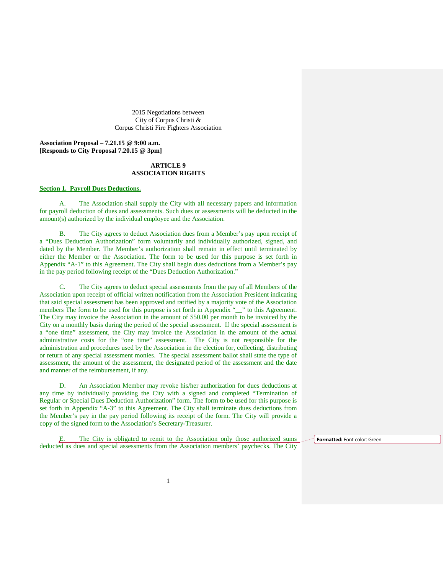2015 Negotiations between City of Corpus Christi & Corpus Christi Fire Fighters Association

**Association Proposal – 7.21.15 @ 9:00 a.m. [Responds to City Proposal 7.20.15 @ 3pm]**

# **ARTICLE 9 ASSOCIATION RIGHTS**

#### **Section 1. Payroll Dues Deductions.**

A. The Association shall supply the City with all necessary papers and information for payroll deduction of dues and assessments. Such dues or assessments will be deducted in the amount(s) authorized by the individual employee and the Association.

B. The City agrees to deduct Association dues from a Member's pay upon receipt of a "Dues Deduction Authorization" form voluntarily and individually authorized, signed, and dated by the Member. The Member's authorization shall remain in effect until terminated by either the Member or the Association. The form to be used for this purpose is set forth in Appendix "A-1" to this Agreement. The City shall begin dues deductions from a Member's pay in the pay period following receipt of the "Dues Deduction Authorization."

The City agrees to deduct special assessments from the pay of all Members of the Association upon receipt of official written notification from the Association President indicating that said special assessment has been approved and ratified by a majority vote of the Association members The form to be used for this purpose is set forth in Appendix "\_\_" to this Agreement. The City may invoice the Association in the amount of \$50.00 per month to be invoiced by the City on a monthly basis during the period of the special assessment. If the special assessment is a "one time" assessment, the City may invoice the Association in the amount of the actual administrative costs for the "one time" assessment. The City is not responsible for the administration and procedures used by the Association in the election for, collecting, distributing or return of any special assessment monies. The special assessment ballot shall state the type of assessment, the amount of the assessment, the designated period of the assessment and the date and manner of the reimbursement, if any.

D. An Association Member may revoke his/her authorization for dues deductions at any time by individually providing the City with a signed and completed "Termination of Regular or Special Dues Deduction Authorization" form. The form to be used for this purpose is set forth in Appendix "A-3" to this Agreement. The City shall terminate dues deductions from the Member's pay in the pay period following its receipt of the form. The City will provide a copy of the signed form to the Association's Secretary-Treasurer.

The City is obligated to remit to the Association only those authorized sums deducted as dues and special assessments from the Association members' paychecks. The City

**Formatted:** Font color: Green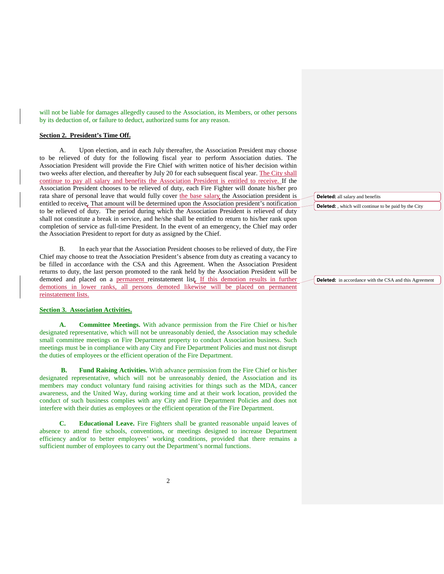will not be liable for damages allegedly caused to the Association, its Members, or other persons by its deduction of, or failure to deduct, authorized sums for any reason.

## **Section 2. President's Time Off.**

A. Upon election, and in each July thereafter, the Association President may choose to be relieved of duty for the following fiscal year to perform Association duties. The Association President will provide the Fire Chief with written notice of his/her decision within two weeks after election, and thereafter by July 20 for each subsequent fiscal year. The City shall continue to pay all salary and benefits the Association President is entitled to receive. If the Association President chooses to be relieved of duty, each Fire Fighter will donate his/her pro rata share of personal leave that would fully cover the base salary the Association president is entitled to receive. That amount will be determined upon the Association president's notification to be relieved of duty. The period during which the Association President is relieved of duty shall not constitute a break in service, and he/she shall be entitled to return to his/her rank upon completion of service as full-time President. In the event of an emergency, the Chief may order the Association President to report for duty as assigned by the Chief.

B. In each year that the Association President chooses to be relieved of duty, the Fire Chief may choose to treat the Association President's absence from duty as creating a vacancy to be filled in accordance with the CSA and this Agreement. When the Association President returns to duty, the last person promoted to the rank held by the Association President will be demoted and placed on a permanent reinstatement list. If this demotion results in further demotions in lower ranks, all persons demoted likewise will be placed on permanent reinstatement lists.

# **Section 3. Association Activities.**

**A. Committee Meetings.** With advance permission from the Fire Chief or his/her designated representative, which will not be unreasonably denied, the Association may schedule small committee meetings on Fire Department property to conduct Association business. Such meetings must be in compliance with any City and Fire Department Policies and must not disrupt the duties of employees or the efficient operation of the Fire Department.

**B. Fund Raising Activities.** With advance permission from the Fire Chief or his/her designated representative, which will not be unreasonably denied, the Association and its members may conduct voluntary fund raising activities for things such as the MDA, cancer awareness, and the United Way, during working time and at their work location, provided the conduct of such business complies with any City and Fire Department Policies and does not interfere with their duties as employees or the efficient operation of the Fire Department.

**C. Educational Leave.** Fire Fighters shall be granted reasonable unpaid leaves of absence to attend fire schools, conventions, or meetings designed to increase Department efficiency and/or to better employees' working conditions, provided that there remains a sufficient number of employees to carry out the Department's normal functions.

**Deleted:** all salary and benefits

**Deleted:** , which will continue to be paid by the City

**Deleted:** in accordance with the CSA and this Agreement